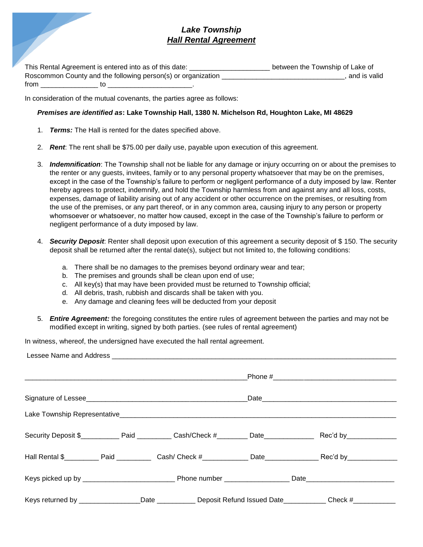## *Lake Township Hall Rental Agreement*

This Rental Agreement is entered into as of this date: \_\_\_\_\_\_\_\_\_\_\_\_\_\_\_\_\_\_\_\_\_\_\_\_\_\_ between the Township of Lake of Roscommon County and the following person(s) or organization \_\_\_\_\_\_\_\_\_\_\_\_\_\_\_\_\_\_\_\_\_\_\_\_\_\_\_\_\_\_\_\_\_\_, and is valid from \_\_\_\_\_\_\_\_\_\_\_\_\_\_\_ to \_\_\_\_\_\_\_\_\_\_\_\_\_\_\_\_\_\_\_\_\_\_.

In consideration of the mutual covenants, the parties agree as follows:

## *Premises are identified as***: Lake Township Hall, 1380 N. Michelson Rd, Houghton Lake, MI 48629**

- 1. *Terms:* The Hall is rented for the dates specified above.
- 2. *Rent*: The rent shall be \$75.00 per daily use, payable upon execution of this agreement.
- 3. *Indemnification*: The Township shall not be liable for any damage or injury occurring on or about the premises to the renter or any guests, invitees, family or to any personal property whatsoever that may be on the premises, except in the case of the Township's failure to perform or negligent performance of a duty imposed by law. Renter hereby agrees to protect, indemnify, and hold the Township harmless from and against any and all loss, costs, expenses, damage of liability arising out of any accident or other occurrence on the premises, or resulting from the use of the premises, or any part thereof, or in any common area, causing injury to any person or property whomsoever or whatsoever, no matter how caused, except in the case of the Township's failure to perform or negligent performance of a duty imposed by law.
- 4. *Security Deposit*: Renter shall deposit upon execution of this agreement a security deposit of \$ 150. The security deposit shall be returned after the rental date(s), subject but not limited to, the following conditions:
	- a. There shall be no damages to the premises beyond ordinary wear and tear;
	- b. The premises and grounds shall be clean upon end of use;
	- c. All key(s) that may have been provided must be returned to Township official;
	- d. All debris, trash, rubbish and discards shall be taken with you.
	- e. Any damage and cleaning fees will be deducted from your deposit
- 5. *Entire Agreement:* the foregoing constitutes the entire rules of agreement between the parties and may not be modified except in writing, signed by both parties. (see rules of rental agreement)

In witness, whereof, the undersigned have executed the hall rental agreement.

|  |  | Keys returned by _________________Date _____________Deposit Refund Issued Date____________Check #____________ |  |  |  |
|--|--|---------------------------------------------------------------------------------------------------------------|--|--|--|